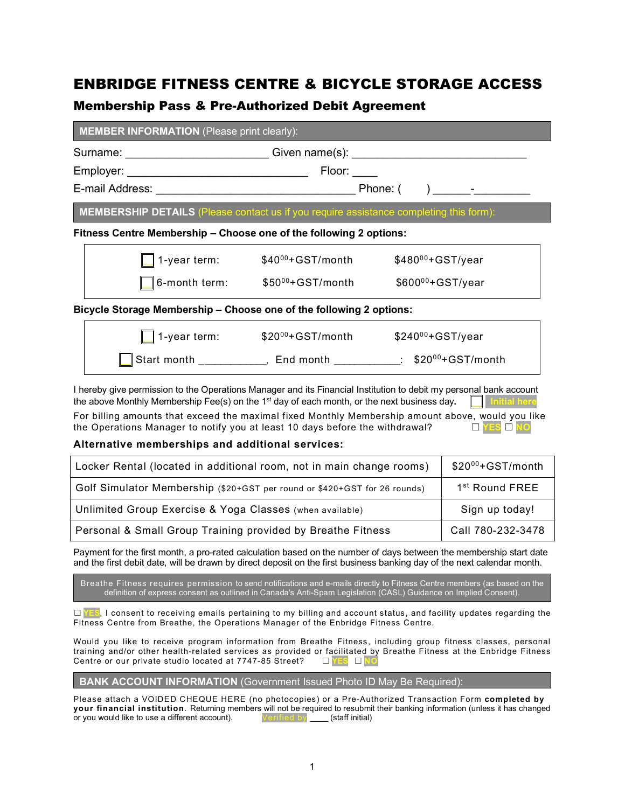## ENBRIDGE FITNESS CENTRE & BICYCLE STORAGE ACCESS

## Membership Pass & Pre-Authorized Debit Agreement

|                                                                                               | Surname: ___________________________Given name(s): _____________________________ |  |  |  |
|-----------------------------------------------------------------------------------------------|----------------------------------------------------------------------------------|--|--|--|
|                                                                                               |                                                                                  |  |  |  |
|                                                                                               |                                                                                  |  |  |  |
| <b>MEMBERSHIP DETAILS (Please contact us if you require assistance completing this form):</b> |                                                                                  |  |  |  |
| Fitness Centre Membership - Choose one of the following 2 options:                            |                                                                                  |  |  |  |
| 1-year term: \$40 <sup>00</sup> +GST/month                                                    | $$480^{00}+GST/year$                                                             |  |  |  |
| 6-month term: $$50^{00}+GST/m$ onth $$600^{00}+GST/\gamma$ ear                                |                                                                                  |  |  |  |
| Bicycle Storage Membership - Choose one of the following 2 options:                           |                                                                                  |  |  |  |
| 1-year term: \$20 <sup>00</sup> +GST/month \$240 <sup>00</sup> +GST/year                      |                                                                                  |  |  |  |
|                                                                                               | Start month _____________, End month ___________: \$2000+GST/month               |  |  |  |
|                                                                                               |                                                                                  |  |  |  |

For billing amounts that exceed the maximal fixed Monthly Membership amount above, would you like the Operations Manager to notify you at least 10 days before the withdrawal? ☐ **YES** ☐ **NO**

#### **Alternative memberships and additional services:**

| Locker Rental (located in additional room, not in main change rooms)      | $$20^{00}$ +GST/month      |
|---------------------------------------------------------------------------|----------------------------|
| Golf Simulator Membership (\$20+GST per round or \$420+GST for 26 rounds) | 1 <sup>st</sup> Round FREE |
| Unlimited Group Exercise & Yoga Classes (when available)                  | Sign up today!             |
| Personal & Small Group Training provided by Breathe Fitness               | Call 780-232-3478          |

Payment for the first month, a pro-rated calculation based on the number of days between the membership start date and the first debit date, will be drawn by direct deposit on the first business banking day of the next calendar month.

Breathe Fitness requires permission to send notifications and e-mails directly to Fitness Centre members (as based on the definition of express consent as outlined in Canada's Anti-Spam Legislation (CASL) Guidance on Implied Consent).

□ **YES**, I consent to receiving emails pertaining to my billing and account status, and facility updates regarding the Fitness Centre from Breathe, the Operations Manager of the Enbridge Fitness Centre.

Would you like to receive program information from Breathe Fitness, including group fitness classes, personal training and/or other health-related services as provided or facilitated by Breathe Fitness at the Enbridge Fitness<br>Centre or our private studio located at 7747-85 Street?  $\Box$  TES  $\Box$  NO Centre or our private studio located at 7747-85 Street?

**BANK ACCOUNT INFORMATION** (Government Issued Photo ID May Be Required):

Please attach a VOIDED CHEQUE HERE (no photocopies) or a Pre-Authorized Transaction Form **completed by your financial institution**. Returning members will not be required to resubmit their banking information (unless it has changed or you would like to use a different account). or you would like to use a different account).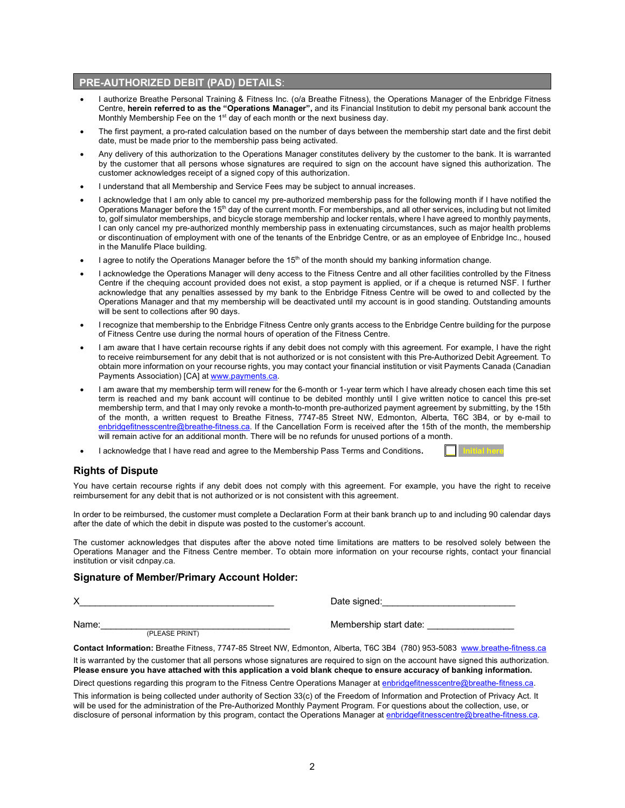#### **PRE-AUTHORIZED DEBIT (PAD) DETAILS**:

- I authorize Breathe Personal Training & Fitness Inc. (o/a Breathe Fitness), the Operations Manager of the Enbridge Fitness Centre, **herein referred to as the "Operations Manager",** and its Financial Institution to debit my personal bank account the Monthly Membership Fee on the 1<sup>st</sup> day of each month or the next business day.
- The first payment, a pro-rated calculation based on the number of days between the membership start date and the first debit date, must be made prior to the membership pass being activated.
- Any delivery of this authorization to the Operations Manager constitutes delivery by the customer to the bank. It is warranted by the customer that all persons whose signatures are required to sign on the account have signed this authorization. The customer acknowledges receipt of a signed copy of this authorization.
- I understand that all Membership and Service Fees may be subject to annual increases.
- I acknowledge that I am only able to cancel my pre-authorized membership pass for the following month if I have notified the Operations Manager before the 15<sup>th</sup> day of the current month. For memberships, and all other services, including but not limited to, golf simulator memberships, and bicycle storage membership and locker rentals, where I have agreed to monthly payments, I can only cancel my pre-authorized monthly membership pass in extenuating circumstances, such as major health problems or discontinuation of employment with one of the tenants of the Enbridge Centre, or as an employee of Enbridge Inc., housed in the Manulife Place building.
- I agree to notify the Operations Manager before the 15<sup>th</sup> of the month should my banking information change.
- I acknowledge the Operations Manager will deny access to the Fitness Centre and all other facilities controlled by the Fitness Centre if the chequing account provided does not exist, a stop payment is applied, or if a cheque is returned NSF. I further acknowledge that any penalties assessed by my bank to the Enbridge Fitness Centre will be owed to and collected by the Operations Manager and that my membership will be deactivated until my account is in good standing. Outstanding amounts will be sent to collections after 90 days.
- I recognize that membership to the Enbridge Fitness Centre only grants access to the Enbridge Centre building for the purpose of Fitness Centre use during the normal hours of operation of the Fitness Centre.
- I am aware that I have certain recourse rights if any debit does not comply with this agreement. For example, I have the right to receive reimbursement for any debit that is not authorized or is not consistent with this Pre-Authorized Debit Agreement. To obtain more information on your recourse rights, you may contact your financial institution or visit Payments Canada (Canadian Payments Association) [CA] at www.payments.ca.
- I am aware that my membership term will renew for the 6-month or 1-year term which I have already chosen each time this set term is reached and my bank account will continue to be debited monthly until I give written notice to cancel this pre-set membership term, and that I may only revoke a month-to-month pre-authorized payment agreement by submitting, by the 15th of the month, a written request to Breathe Fitness, 7747-85 Street NW, Edmonton, Alberta, T6C 3B4, or by e-mail to enbridgefitnesscentre@breathe-fitness.ca. If the Cancellation Form is received after the 15th of the month, the membership will remain active for an additional month. There will be no refunds for unused portions of a month.
- I acknowledge that I have read and agree to the Membership Pass Terms and Conditions.

#### **Rights of Dispute**

You have certain recourse rights if any debit does not comply with this agreement. For example, you have the right to receive reimbursement for any debit that is not authorized or is not consistent with this agreement.

In order to be reimbursed, the customer must complete a Declaration Form at their bank branch up to and including 90 calendar days after the date of which the debit in dispute was posted to the customer's account.

The customer acknowledges that disputes after the above noted time limitations are matters to be resolved solely between the Operations Manager and the Fitness Centre member. To obtain more information on your recourse rights, contact your financial institution or visit cdnpay.ca.

#### **Signature of Member/Primary Account Holder:**

X

Name:\_\_\_\_\_\_\_\_\_\_\_\_\_\_\_\_\_\_\_\_\_\_\_\_\_\_\_\_\_\_\_\_\_\_\_\_\_ Membership start date: \_\_\_\_\_\_\_\_\_\_\_\_\_\_\_\_\_ (PLEASE PRINT)

**Contact Information:** Breathe Fitness, 7747-85 Street NW, Edmonton, Alberta, T6C 3B4 (780) 953-5083 www.breathe-fitness.ca It is warranted by the customer that all persons whose signatures are required to sign on the account have signed this authorization. **Please ensure you have attached with this application a void blank cheque to ensure accuracy of banking information.** Direct questions regarding this program to the Fitness Centre Operations Manager at enbridgefitnesscentre@breathe-fitness.ca.

This information is being collected under authority of Section 33(c) of the Freedom of Information and Protection of Privacy Act. It will be used for the administration of the Pre-Authorized Monthly Payment Program. For questions about the collection, use, or disclosure of personal information by this program, contact the Operations Manager at enbridgefitnesscentre@breathe-fitness.ca.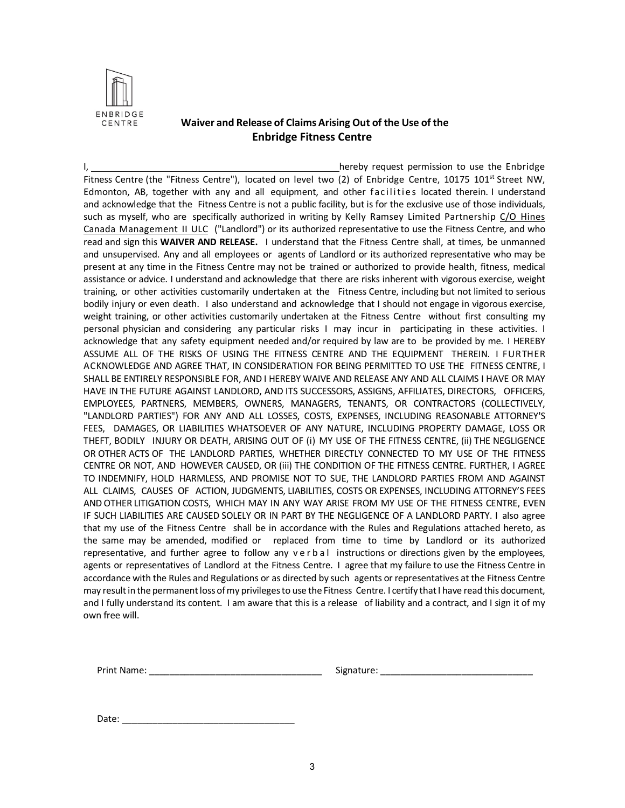

### **Waiver and Release of Claims Arising Out of the Use of the Enbridge Fitness Centre**

I, hereby request permission to use the Enbridge Fitness Centre (the "Fitness Centre"), located on level two (2) of Enbridge Centre, 10175 101<sup>st</sup> Street NW, Edmonton, AB, together with any and all equipment, and other facilities located therein. I understand and acknowledge that the Fitness Centre is not a public facility, but is for the exclusive use of those individuals, such as myself, who are specifically authorized in writing by Kelly Ramsey Limited Partnership C/O Hines Canada Management II ULC ("Landlord") or its authorized representative to use the Fitness Centre, and who read and sign this **WAIVER AND RELEASE.** I understand that the Fitness Centre shall, at times, be unmanned and unsupervised. Any and all employees or agents of Landlord or its authorized representative who may be present at any time in the Fitness Centre may not be trained or authorized to provide health, fitness, medical assistance or advice. I understand and acknowledge that there are risks inherent with vigorous exercise, weight training, or other activities customarily undertaken at the Fitness Centre, including but not limited to serious bodily injury or even death. I also understand and acknowledge that I should not engage in vigorous exercise, weight training, or other activities customarily undertaken at the Fitness Centre without first consulting my personal physician and considering any particular risks I may incur in participating in these activities. I acknowledge that any safety equipment needed and/or required by law are to be provided by me. I HEREBY ASSUME ALL OF THE RISKS OF USING THE FITNESS CENTRE AND THE EQUIPMENT THEREIN. I FURTHER ACKNOWLEDGE AND AGREE THAT, IN CONSIDERATION FOR BEING PERMITTED TO USE THE FITNESS CENTRE, I SHALL BE ENTIRELY RESPONSIBLE FOR, AND I HEREBY WAIVE AND RELEASE ANY AND ALL CLAIMS I HAVE OR MAY HAVE IN THE FUTURE AGAINST LANDLORD, AND ITS SUCCESSORS, ASSIGNS, AFFILIATES, DIRECTORS, OFFICERS, EMPLOYEES, PARTNERS, MEMBERS, OWNERS, MANAGERS, TENANTS, OR CONTRACTORS (COLLECTIVELY, "LANDLORD PARTIES") FOR ANY AND ALL LOSSES, COSTS, EXPENSES, INCLUDING REASONABLE ATTORNEY'S FEES, DAMAGES, OR LIABILITIES WHATSOEVER OF ANY NATURE, INCLUDING PROPERTY DAMAGE, LOSS OR THEFT, BODILY INJURY OR DEATH, ARISING OUT OF (i) MY USE OF THE FITNESS CENTRE, (ii) THE NEGLIGENCE OR OTHER ACTS OF THE LANDLORD PARTIES, WHETHER DIRECTLY CONNECTED TO MY USE OF THE FITNESS CENTRE OR NOT, AND HOWEVER CAUSED, OR (iii) THE CONDITION OF THE FITNESS CENTRE. FURTHER, I AGREE TO INDEMNIFY, HOLD HARMLESS, AND PROMISE NOT TO SUE, THE LANDLORD PARTIES FROM AND AGAINST ALL CLAIMS, CAUSES OF ACTION, JUDGMENTS, LIABILITIES, COSTS OR EXPENSES, INCLUDING ATTORNEY'S FEES AND OTHER LITIGATION COSTS, WHICH MAY IN ANY WAY ARISE FROM MY USE OF THE FITNESS CENTRE, EVEN IF SUCH LIABILITIES ARE CAUSED SOLELY OR IN PART BY THE NEGLIGENCE OF A LANDLORD PARTY. I also agree that my use of the Fitness Centre shall be in accordance with the Rules and Regulations attached hereto, as the same may be amended, modified or replaced from time to time by Landlord or its authorized representative, and further agree to follow any verbal instructions or directions given by the employees, agents or representatives of Landlord at the Fitness Centre. I agree that my failure to use the Fitness Centre in accordance with the Rules and Regulations or as directed by such agents or representatives at the Fitness Centre may result in the permanent loss of my privileges to use the Fitness Centre. I certify that I have read this document, and I fully understand its content. I am aware that this is a release of liability and a contract, and I sign it of my own free will.

Print Name: the contract of the contract of the Signature:  $\sim$  Signature:  $\sim$  2007.

Date: \_\_\_\_\_\_\_\_\_\_\_\_\_\_\_\_\_\_\_\_\_\_\_\_\_\_\_\_\_\_\_\_\_\_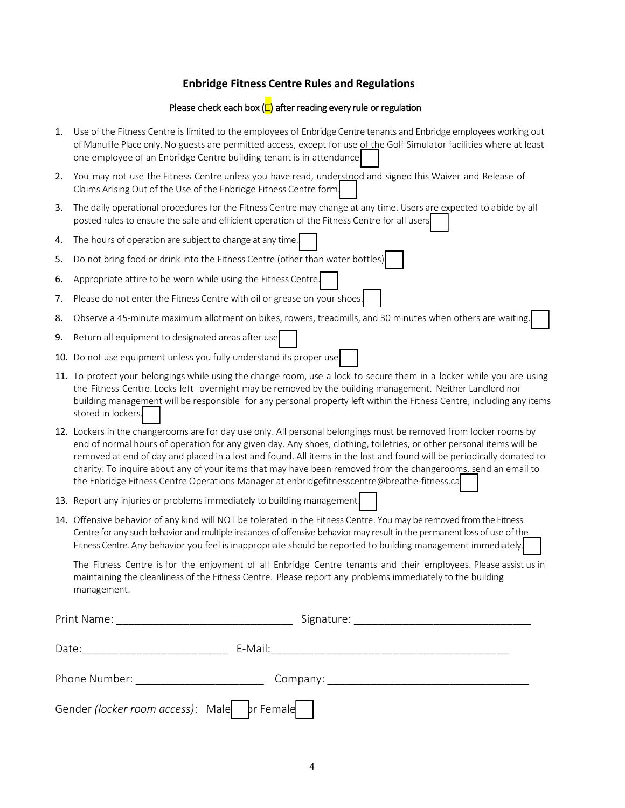### **Enbridge Fitness Centre Rules and Regulations**

#### Please check each box  $\left(\Box\right)$  after reading every rule or regulation

- 1. Use of the Fitness Centre is limited to the employees of Enbridge Centre tenants and Enbridge employees working out of Manulife Place only. No guests are permitted access, except for use of the Golf Simulator facilities where at least one employee of an Enbridge Centre building tenant is in attendance.
- 2. You may not use the Fitness Centre unless you have read, understood and signed this Waiver and Release of Claims Arising Out of the Use of the Enbridge Fitness Centre form.
- 3. The daily operational procedures for the Fitness Centre may change at any time. Users are expected to abide by all posted rules to ensure the safe and efficient operation of the Fitness Centre for all users.
- 4. The hours of operation are subject to change at any time.
- 5. Do not bring food or drink into the Fitness Centre (other than water bottles).
- 6. Appropriate attire to be worn while using the Fitness Centre.
- 7. Please do not enter the Fitness Centre with oil or grease on your shoes.
- 8. Observe a 45-minute maximum allotment on bikes, rowers, treadmills, and 30 minutes when others are waiting.
- 9. Return all equipment to designated areas after use
- 10. Do not use equipment unless you fully understand its proper use
- 11. To protect your belongings while using the change room, use a lock to secure them in a locker while you are using the Fitness Centre. Locks left overnight may be removed by the building management. Neither Landlord nor building management will be responsible for any personal property left within the Fitness Centre, including any items stored in lockers.
- 12. Lockers in the changerooms are for day use only. All personal belongings must be removed from locker rooms by end of normal hours of operation for any given day. Any shoes, clothing, toiletries, or other personal items will be removed at end of day and placed in a lost and found. All items in the lost and found will be periodically donated to charity. To inquire about any of your items that may have been removed from the changerooms, send an email to the Enbridge Fitness Centre Operations Manager at enbridgefitnesscentre@breathe-fitness.ca
- 13. Report any injuries or problems immediately to building management
- 14. Offensive behavior of any kind will NOT be tolerated in the Fitness Centre. You may be removed from the Fitness Centre for any such behavior and multiple instances of offensive behavior may result in the permanent loss of use of the Fitness Centre. Any behavior you feel is inappropriate should be reported to building management immediately

The Fitness Centre is for the enjoyment of all Enbridge Centre tenants and their employees. Please assist us in maintaining the cleanliness of the Fitness Centre. Please report any problems immediately to the building management.

| Print Name:<br><u> 2000 - 2000 - 2000 - 2000 - 2000 - 2000 - 2000 - 2000 - 2000 - 2000 - 2000 - 2000 - 2000 - 2000 - 2000 - 200</u>                                                                                           |  |
|-------------------------------------------------------------------------------------------------------------------------------------------------------------------------------------------------------------------------------|--|
| Date:                                                                                                                                                                                                                         |  |
| Phone Number: The contract of the contract of the contract of the contract of the contract of the contract of the contract of the contract of the contract of the contract of the contract of the contract of the contract of |  |
| Gender (locker room access): Male   br Female                                                                                                                                                                                 |  |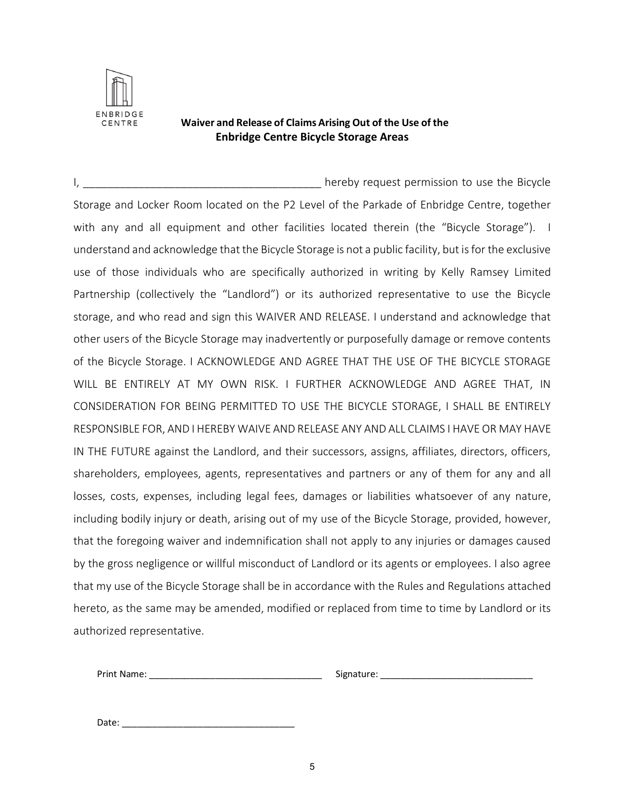

## **Waiver and Release of Claims Arising Out of the Use of the Enbridge Centre Bicycle Storage Areas**

I, \_\_\_\_\_\_\_\_\_\_\_\_\_\_\_\_\_\_\_\_\_\_\_\_\_\_\_\_\_\_\_\_\_\_\_\_\_\_\_ hereby request permission to use the Bicycle Storage and Locker Room located on the P2 Level of the Parkade of Enbridge Centre, together with any and all equipment and other facilities located therein (the "Bicycle Storage"). I understand and acknowledge that the Bicycle Storage is not a public facility, but is for the exclusive use of those individuals who are specifically authorized in writing by Kelly Ramsey Limited Partnership (collectively the "Landlord") or its authorized representative to use the Bicycle storage, and who read and sign this WAIVER AND RELEASE. I understand and acknowledge that other users of the Bicycle Storage may inadvertently or purposefully damage or remove contents of the Bicycle Storage. I ACKNOWLEDGE AND AGREE THAT THE USE OF THE BICYCLE STORAGE WILL BE ENTIRELY AT MY OWN RISK. I FURTHER ACKNOWLEDGE AND AGREE THAT, IN CONSIDERATION FOR BEING PERMITTED TO USE THE BICYCLE STORAGE, I SHALL BE ENTIRELY RESPONSIBLE FOR, AND I HEREBY WAIVE AND RELEASE ANY AND ALL CLAIMS I HAVE OR MAY HAVE IN THE FUTURE against the Landlord, and their successors, assigns, affiliates, directors, officers, shareholders, employees, agents, representatives and partners or any of them for any and all losses, costs, expenses, including legal fees, damages or liabilities whatsoever of any nature, including bodily injury or death, arising out of my use of the Bicycle Storage, provided, however, that the foregoing waiver and indemnification shall not apply to any injuries or damages caused by the gross negligence or willful misconduct of Landlord or its agents or employees. I also agree that my use of the Bicycle Storage shall be in accordance with the Rules and Regulations attached hereto, as the same may be amended, modified or replaced from time to time by Landlord or its authorized representative.

Print Name: The contract of the contract of the Signature:  $\sim$  Signature:  $\sim$  2007.

Date: \_\_\_\_\_\_\_\_\_\_\_\_\_\_\_\_\_\_\_\_\_\_\_\_\_\_\_\_\_\_\_\_\_\_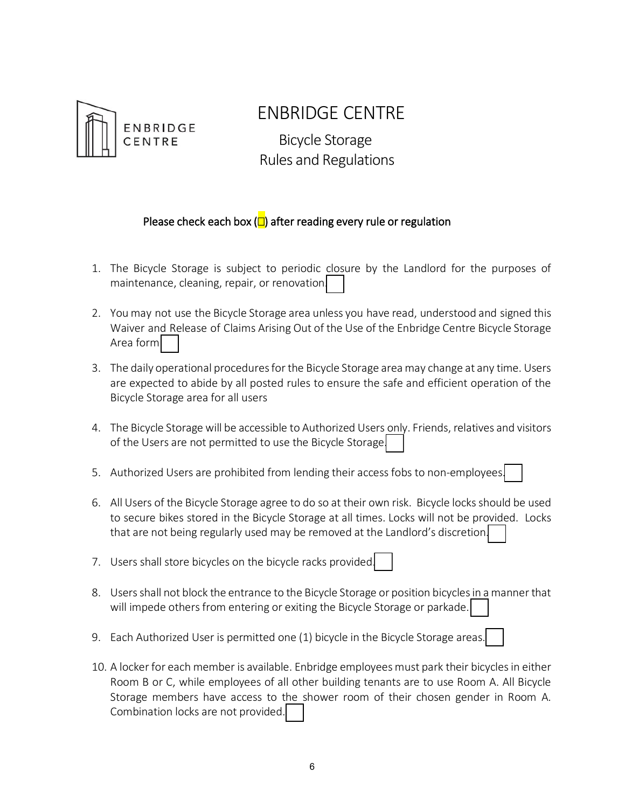

# ENBRIDGE CENTRE

 Bicycle Storage Rules and Regulations

## Please check each box  $\left(\Box\right)$  after reading every rule or regulation

- 1. The Bicycle Storage is subject to periodic closure by the Landlord for the purposes of maintenance, cleaning, repair, or renovation.
- 2. You may not use the Bicycle Storage area unless you have read, understood and signed this Waiver and Release of Claims Arising Out of the Use of the Enbridge Centre Bicycle Storage Area form
- 3. The daily operational procedures for the Bicycle Storage area may change at any time. Users are expected to abide by all posted rules to ensure the safe and efficient operation of the Bicycle Storage area for all users
- 4. The Bicycle Storage will be accessible to Authorized Users only. Friends, relatives and visitors of the Users are not permitted to use the Bicycle Storage.
- 5. Authorized Users are prohibited from lending their access fobs to non-employees.
- 6. All Users of the Bicycle Storage agree to do so at their own risk. Bicycle locks should be used to secure bikes stored in the Bicycle Storage at all times. Locks will not be provided. Locks that are not being regularly used may be removed at the Landlord's discretion.
- 7. Users shall store bicycles on the bicycle racks provided.
- 8. Users shall not block the entrance to the Bicycle Storage or position bicycles in a manner that will impede others from entering or exiting the Bicycle Storage or parkade.
- 9. Each Authorized User is permitted one (1) bicycle in the Bicycle Storage areas.
- 10. A locker for each member is available. Enbridge employees must park their bicycles in either Room B or C, while employees of all other building tenants are to use Room A. All Bicycle Storage members have access to the shower room of their chosen gender in Room A. Combination locks are not provided.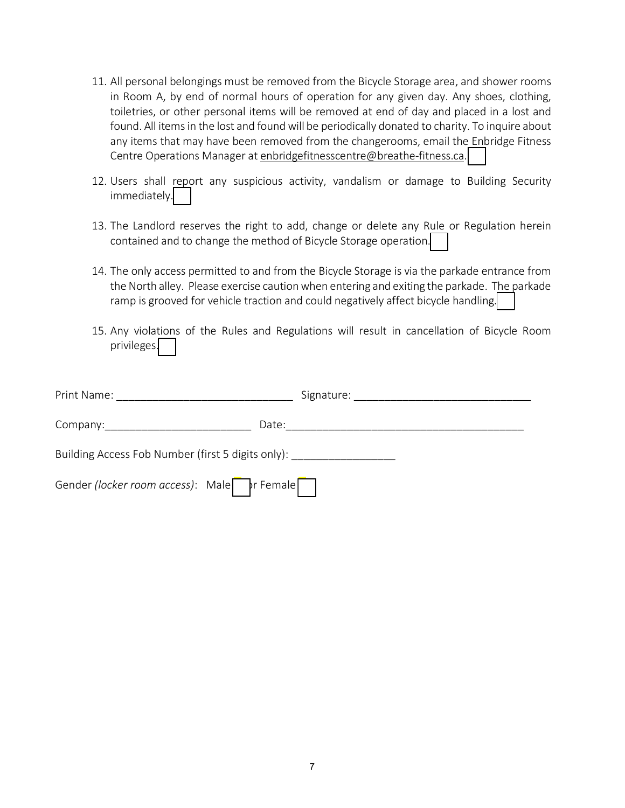- 11. All personal belongings must be removed from the Bicycle Storage area, and shower rooms in Room A, by end of normal hours of operation for any given day. Any shoes, clothing, toiletries, or other personal items will be removed at end of day and placed in a lost and found. All items in the lost and found will be periodically donated to charity. To inquire about any items that may have been removed from the changerooms, email the Enbridge Fitness Centre Operations Manager at enbridgefitnesscentre@breathe-fitness.ca.
- 12. Users shall report any suspicious activity, vandalism or damage to Building Security immediately.
- 13. The Landlord reserves the right to add, change or delete any Rule or Regulation herein contained and to change the method of Bicycle Storage operation.
- 14. The only access permitted to and from the Bicycle Storage is via the parkade entrance from the North alley. Please exercise caution when entering and exiting the parkade. The parkade ramp is grooved for vehicle traction and could negatively affect bicycle handling.
- 15. Any violations of the Rules and Regulations will result in cancellation of Bicycle Room privileges.

| Print Name:                                       | Signature: Signature: |  |
|---------------------------------------------------|-----------------------|--|
| Date:<br>Company: Company:                        |                       |  |
| Building Access Fob Number (first 5 digits only): |                       |  |
| Gender (locker room access): Malent r Female      |                       |  |